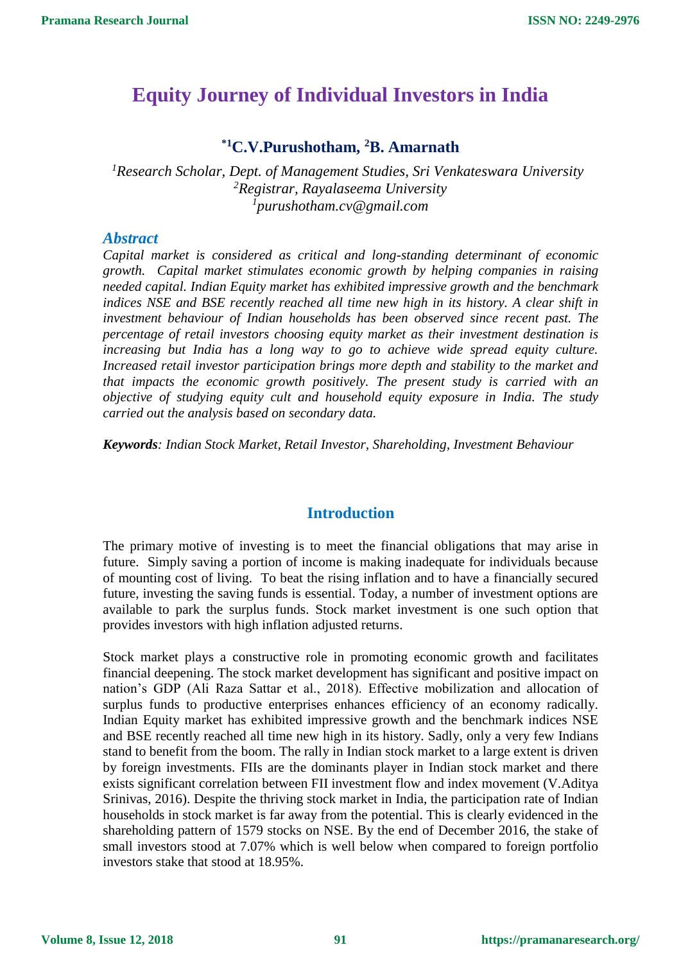# **Equity Journey of Individual Investors in India**

## **\*1C.V.Purushotham, <sup>2</sup>B. Amarnath**

*<sup>1</sup>Research Scholar, Dept. of Management Studies, Sri Venkateswara University <sup>2</sup>Registrar, Rayalaseema University <sup>1</sup>purushotham.cv@gmail.com*

#### *Abstract*

*Capital market is considered as critical and long-standing determinant of economic growth. Capital market stimulates economic growth by helping companies in raising needed capital. Indian Equity market has exhibited impressive growth and the benchmark indices NSE and BSE recently reached all time new high in its history. A clear shift in investment behaviour of Indian households has been observed since recent past. The percentage of retail investors choosing equity market as their investment destination is increasing but India has a long way to go to achieve wide spread equity culture. Increased retail investor participation brings more depth and stability to the market and that impacts the economic growth positively. The present study is carried with an objective of studying equity cult and household equity exposure in India. The study carried out the analysis based on secondary data.* 

*Keywords: Indian Stock Market, Retail Investor, Shareholding, Investment Behaviour*

## **Introduction**

The primary motive of investing is to meet the financial obligations that may arise in future. Simply saving a portion of income is making inadequate for individuals because of mounting cost of living. To beat the rising inflation and to have a financially secured future, investing the saving funds is essential. Today, a number of investment options are available to park the surplus funds. Stock market investment is one such option that provides investors with high inflation adjusted returns.

Stock market plays a constructive role in promoting economic growth and facilitates financial deepening. The stock market development has significant and positive impact on nation's GDP (Ali Raza Sattar et al., 2018). Effective mobilization and allocation of surplus funds to productive enterprises enhances efficiency of an economy radically. Indian Equity market has exhibited impressive growth and the benchmark indices NSE and BSE recently reached all time new high in its history. Sadly, only a very few Indians stand to benefit from the boom. The rally in Indian stock market to a large extent is driven by foreign investments. FIIs are the dominants player in Indian stock market and there exists significant correlation between FII investment flow and index movement (V.Aditya Srinivas, 2016). Despite the thriving stock market in India, the participation rate of Indian households in stock market is far away from the potential. This is clearly evidenced in the shareholding pattern of 1579 stocks on NSE. By the end of December 2016, the stake of small investors stood at 7.07% which is well below when compared to foreign portfolio investors stake that stood at 18.95%.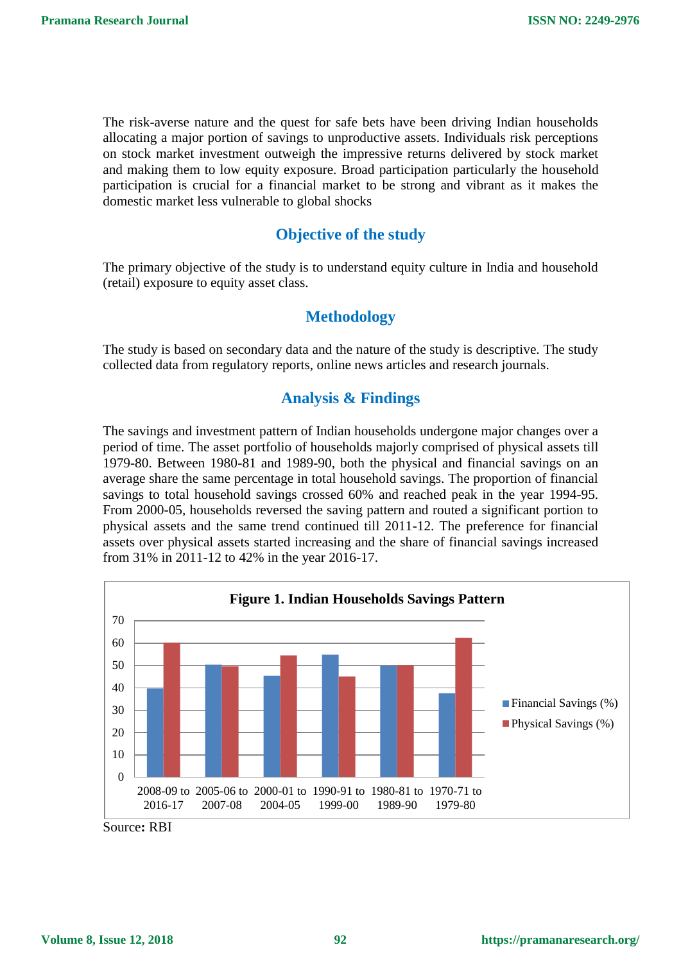The risk-averse nature and the quest for safe bets have been driving Indian households allocating a major portion of savings to unproductive assets. Individuals risk perceptions on stock market investment outweigh the impressive returns delivered by stock market and making them to low equity exposure. Broad participation particularly the household participation is crucial for a financial market to be strong and vibrant as it makes the domestic market less vulnerable to global shocks

## **Objective of the study**

The primary objective of the study is to understand equity culture in India and household (retail) exposure to equity asset class.

## **Methodology**

The study is based on secondary data and the nature of the study is descriptive. The study collected data from regulatory reports, online news articles and research journals.

## **Analysis & Findings**

The savings and investment pattern of Indian households undergone major changes over a period of time. The asset portfolio of households majorly comprised of physical assets till 1979-80. Between 1980-81 and 1989-90, both the physical and financial savings on an average share the same percentage in total household savings. The proportion of financial savings to total household savings crossed 60% and reached peak in the year 1994-95. From 2000-05, households reversed the saving pattern and routed a significant portion to physical assets and the same trend continued till 2011-12. The preference for financial assets over physical assets started increasing and the share of financial savings increased from 31% in 2011-12 to 42% in the year 2016-17.



Source**:** RBI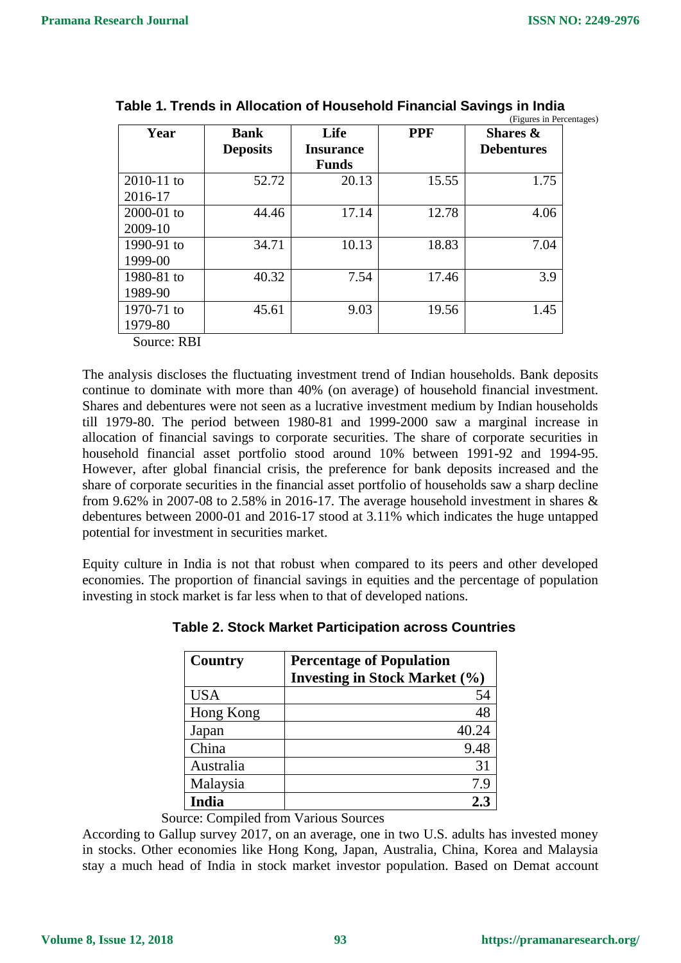| Year                  | <b>Bank</b>     | Life             | <b>PPF</b> | Shares $\&$       |
|-----------------------|-----------------|------------------|------------|-------------------|
|                       | <b>Deposits</b> | <b>Insurance</b> |            | <b>Debentures</b> |
|                       |                 | <b>Funds</b>     |            |                   |
| $2010 - 11$ to        | 52.72           | 20.13            | 15.55      | 1.75              |
| 2016-17               |                 |                  |            |                   |
| $2000 - 01$ to        | 44.46           | 17.14            | 12.78      | 4.06              |
| 2009-10               |                 |                  |            |                   |
| 1990-91 to            | 34.71           | 10.13            | 18.83      | 7.04              |
| 1999-00               |                 |                  |            |                   |
| 1980-81 to            | 40.32           | 7.54             | 17.46      | 3.9               |
| 1989-90               |                 |                  |            |                   |
| 1970-71 to            | 45.61           | 9.03             | 19.56      | 1.45              |
| 1979-80               |                 |                  |            |                   |
| $\sim$<br>nn <b>r</b> |                 |                  |            |                   |

|  | Table 1. Trends in Allocation of Household Financial Savings in India |  |                          |
|--|-----------------------------------------------------------------------|--|--------------------------|
|  |                                                                       |  | (Figures in Percentages) |

Source: RBI

The analysis discloses the fluctuating investment trend of Indian households. Bank deposits continue to dominate with more than 40% (on average) of household financial investment. Shares and debentures were not seen as a lucrative investment medium by Indian households till 1979-80. The period between 1980-81 and 1999-2000 saw a marginal increase in allocation of financial savings to corporate securities. The share of corporate securities in household financial asset portfolio stood around 10% between 1991-92 and 1994-95. However, after global financial crisis, the preference for bank deposits increased and the share of corporate securities in the financial asset portfolio of households saw a sharp decline from 9.62% in 2007-08 to 2.58% in 2016-17. The average household investment in shares  $\&$ debentures between 2000-01 and 2016-17 stood at 3.11% which indicates the huge untapped potential for investment in securities market.

Equity culture in India is not that robust when compared to its peers and other developed economies. The proportion of financial savings in equities and the percentage of population investing in stock market is far less when to that of developed nations.

| Country      | <b>Percentage of Population</b><br><b>Investing in Stock Market (%)</b> |
|--------------|-------------------------------------------------------------------------|
| <b>USA</b>   | 54                                                                      |
| Hong Kong    | 48                                                                      |
| Japan        | 40.24                                                                   |
| China        | 9.48                                                                    |
| Australia    | 31                                                                      |
| Malaysia     | 7.9                                                                     |
| <b>India</b> | 2.3                                                                     |

 **Table 2. Stock Market Participation across Countries**

Source: Compiled from Various Sources

According to Gallup survey 2017, on an average, one in two U.S. adults has invested money in stocks. Other economies like Hong Kong, Japan, Australia, China, Korea and Malaysia stay a much head of India in stock market investor population. Based on Demat account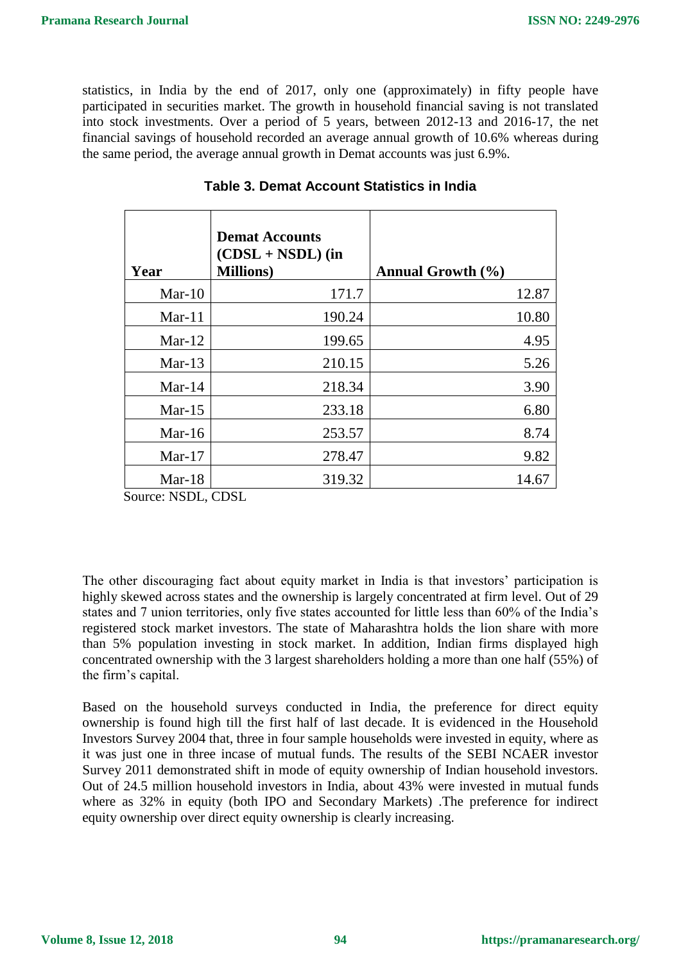statistics, in India by the end of 2017, only one (approximately) in fifty people have participated in securities market. The growth in household financial saving is not translated into stock investments. Over a period of 5 years, between 2012-13 and 2016-17, the net financial savings of household recorded an average annual growth of 10.6% whereas during the same period, the average annual growth in Demat accounts was just 6.9%.

| Year      | <b>Demat Accounts</b><br>$(CDSL + NSDL)$ (in<br><b>Millions</b> ) | Annual Growth (%) |
|-----------|-------------------------------------------------------------------|-------------------|
| $Mar-10$  | 171.7                                                             | 12.87             |
| $Mar-11$  | 190.24                                                            | 10.80             |
| $Mar-12$  | 199.65                                                            | 4.95              |
| $Mar-13$  | 210.15                                                            | 5.26              |
| Mar- $14$ | 218.34                                                            | 3.90              |
| $Mar-15$  | 233.18                                                            | 6.80              |
| Mar-16    | 253.57                                                            | 8.74              |
| $Mar-17$  | 278.47                                                            | 9.82              |
| $Mar-18$  | 319.32                                                            | 14.67             |

#### **Table 3. Demat Account Statistics in India**

Source: NSDL, CDSL

The other discouraging fact about equity market in India is that investors' participation is highly skewed across states and the ownership is largely concentrated at firm level. Out of 29 states and 7 union territories, only five states accounted for little less than 60% of the India's registered stock market investors. The state of Maharashtra holds the lion share with more than 5% population investing in stock market. In addition, Indian firms displayed high concentrated ownership with the 3 largest shareholders holding a more than one half (55%) of the firm's capital.

Based on the household surveys conducted in India, the preference for direct equity ownership is found high till the first half of last decade. It is evidenced in the Household Investors Survey 2004 that, three in four sample households were invested in equity, where as it was just one in three incase of mutual funds. The results of the SEBI NCAER investor Survey 2011 demonstrated shift in mode of equity ownership of Indian household investors. Out of 24.5 million household investors in India, about 43% were invested in mutual funds where as 32% in equity (both IPO and Secondary Markets) .The preference for indirect equity ownership over direct equity ownership is clearly increasing.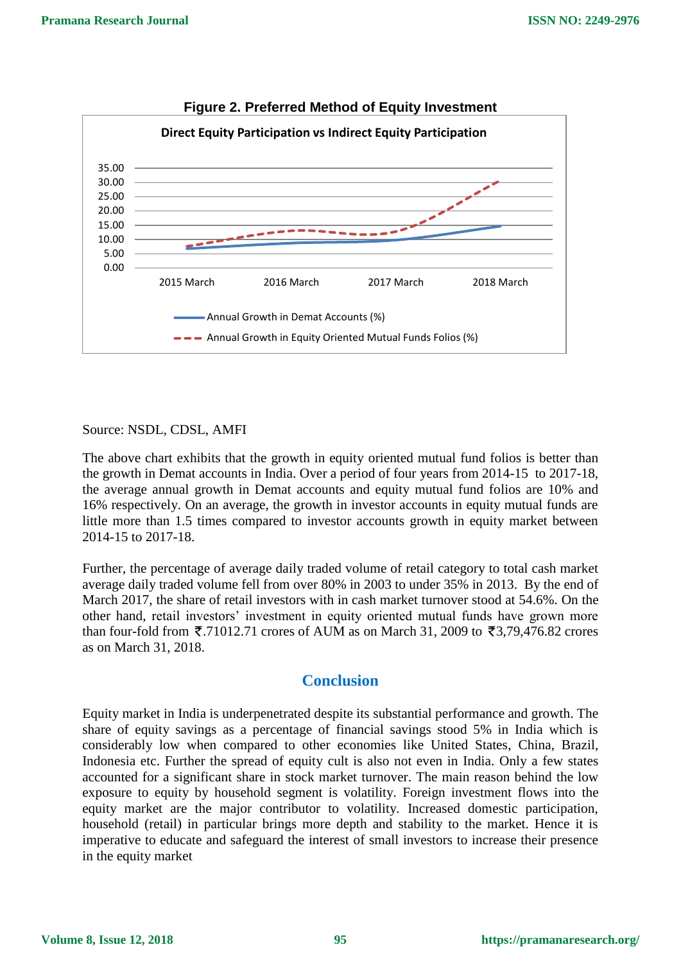

#### **Figure 2. Preferred Method of Equity Investment**

#### Source: NSDL, CDSL, AMFI

The above chart exhibits that the growth in equity oriented mutual fund folios is better than the growth in Demat accounts in India. Over a period of four years from 2014-15 to 2017-18, the average annual growth in Demat accounts and equity mutual fund folios are 10% and 16% respectively. On an average, the growth in investor accounts in equity mutual funds are little more than 1.5 times compared to investor accounts growth in equity market between 2014-15 to 2017-18.

Further, the percentage of average daily traded volume of retail category to total cash market average daily traded volume fell from over 80% in 2003 to under 35% in 2013. By the end of March 2017, the share of retail investors with in cash market turnover stood at 54.6%. On the other hand, retail investors' investment in equity oriented mutual funds have grown more than four-fold from  $\overline{5}$ .71012.71 crores of AUM as on March 31, 2009 to  $\overline{5}$ 3.79.476.82 crores as on March 31, 2018.

#### **Conclusion**

Equity market in India is underpenetrated despite its substantial performance and growth. The share of equity savings as a percentage of financial savings stood 5% in India which is considerably low when compared to other economies like United States, China, Brazil, Indonesia etc. Further the spread of equity cult is also not even in India. Only a few states accounted for a significant share in stock market turnover. The main reason behind the low exposure to equity by household segment is volatility. Foreign investment flows into the equity market are the major contributor to volatility. Increased domestic participation, household (retail) in particular brings more depth and stability to the market. Hence it is imperative to educate and safeguard the interest of small investors to increase their presence in the equity market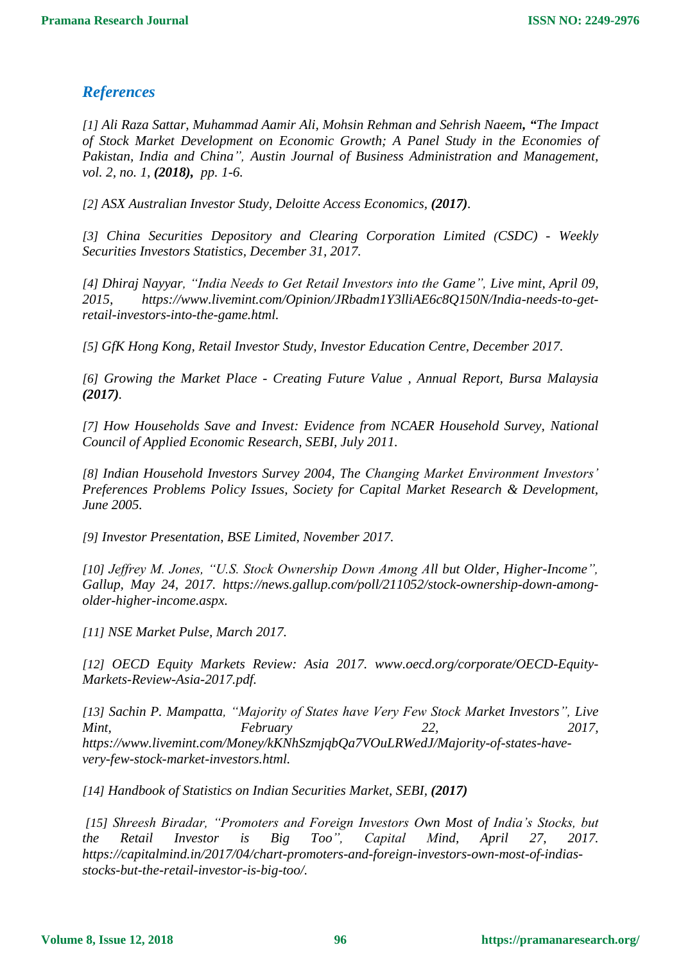## *References*

*[1] Ali Raza Sattar, Muhammad Aamir Ali, Mohsin Rehman and Sehrish Naeem, "The Impact of Stock Market Development on Economic Growth; A Panel Study in the Economies of Pakistan, India and China", Austin Journal of Business Administration and Management, vol. 2, no. 1, (2018), pp. 1-6.*

*[2] ASX Australian Investor Study, Deloitte Access Economics, (2017).*

*[3] China Securities Depository and Clearing Corporation Limited (CSDC) - Weekly Securities Investors Statistics, December 31, 2017.*

*[4] [Dhiraj Nayyar,](https://www.livemint.com/Search/Link/Author/Dhiraj%20Nayyar) "India Needs to Get Retail Investors into the Game", Live mint, April 09, 2015, https://www.livemint.com/Opinion/JRbadm1Y3lliAE6c8Q150N/India-needs-to-getretail-investors-into-the-game.html.*

*[5] GfK Hong Kong, Retail Investor Study, Investor Education Centre, December 2017.*

*[6] Growing the Market Place - Creating Future Value , Annual Report, Bursa Malaysia (2017).*

*[7] How Households Save and Invest: Evidence from NCAER Household Survey, National Council of Applied Economic Research, SEBI, July 2011.*

*[8] Indian Household Investors Survey 2004, The Changing Market Environment Investors' Preferences Problems Policy Issues, Society for Capital Market Research & Development, June 2005.*

*[9] Investor Presentation, BSE Limited, November 2017.*

*[10] Jeffrey M. Jones, "U.S. Stock Ownership Down Among All but Older, Higher-Income", Gallup, May 24, 2017. https://news.gallup.com/poll/211052/stock-ownership-down-amongolder-higher-income.aspx.*

*[11] NSE Market Pulse, March 2017.*

*[12] OECD Equity Markets Review: Asia 2017. www.oecd.org/corporate/OECD-Equity-Markets-Review-Asia-2017.pdf.*

*[13] [Sachin P. Mampatta,](https://www.livemint.com/Search/Link/Author/Sachin%20P.%20Mampatta) "Majority of States have Very Few Stock Market Investors", Live Mint, February 22, 2017, https://www.livemint.com/Money/kKNhSzmjqbQa7VOuLRWedJ/Majority-of-states-havevery-few-stock-market-investors.html.*

*[14] Handbook of Statistics on Indian Securities Market, SEBI, (2017)*

*[15] Shreesh Biradar, "Promoters and Foreign Investors Own Most of India's Stocks, but the Retail Investor is Big Too", Capital Mind, April 27, 2017. https://capitalmind.in/2017/04/chart-promoters-and-foreign-investors-own-most-of-indiasstocks-but-the-retail-investor-is-big-too/.*